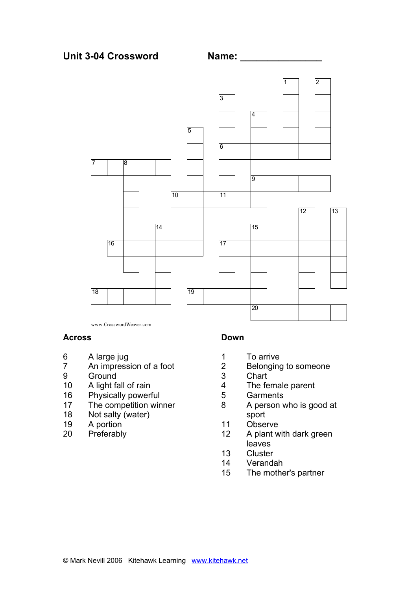

www.CrosswordWeaver.com

#### **Across**

- 6 A large jug
- 7 An impression of a foot
- 9 Ground
- 10 A light fall of rain
- 16 Physically powerful<br>17 The competition win
- The competition winner
- 18 Not salty (water)
- 19 A portion
- 20 Preferably

#### **Down**

- 1 To arrive
- 2 Belonging to someone
- 3 Chart
- 4 The female parent<br>5 Garments
- 5 Garments<br>8 A person v
- A person who is good at sport
- 11 Observe
- 12 A plant with dark green leaves
- 13 Cluster
- 14 Verandah
- 15 The mother's partner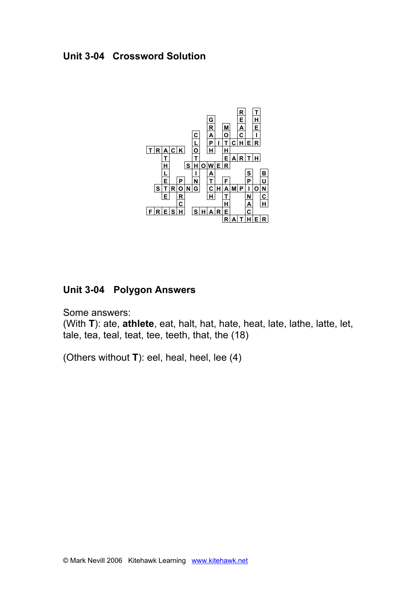# **Unit 3-04 Crossword Solution**



# **Unit 3-04 Polygon Answers**

Some answers:

(With **T**): ate, **athlete**, eat, halt, hat, hate, heat, late, lathe, latte, let, tale, tea, teal, teat, tee, teeth, that, the (18)

(Others without **T**): eel, heal, heel, lee (4)